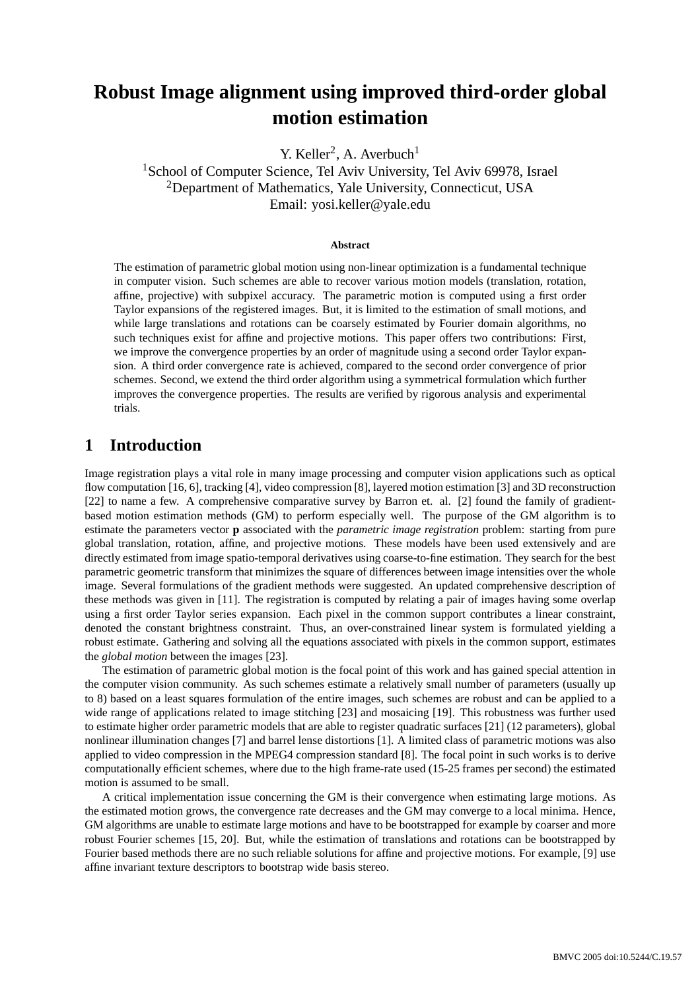# **Robust Image alignment using improved third-order global motion estimation**

Y. Keller<sup>2</sup>, A. Averbuch<sup>1</sup>

<sup>1</sup>School of Computer Science, Tel Aviv University, Tel Aviv 69978, Israel <sup>2</sup>Department of Mathematics, Yale University, Connecticut, USA Email: yosi.keller@yale.edu

#### **Abstract**

The estimation of parametric global motion using non-linear optimization is a fundamental technique in computer vision. Such schemes are able to recover various motion models (translation, rotation, affine, projective) with subpixel accuracy. The parametric motion is computed using a first order Taylor expansions of the registered images. But, it is limited to the estimation of small motions, and while large translations and rotations can be coarsely estimated by Fourier domain algorithms, no such techniques exist for affine and projective motions. This paper offers two contributions: First, we improve the convergence properties by an order of magnitude using a second order Taylor expansion. A third order convergence rate is achieved, compared to the second order convergence of prior schemes. Second, we extend the third order algorithm using a symmetrical formulation which further improves the convergence properties. The results are verified by rigorous analysis and experimental trials.

# **1 Introduction**

Image registration plays a vital role in many image processing and computer vision applications such as optical flow computation [16, 6], tracking [4], video compression [8], layered motion estimation [3] and 3D reconstruction [22] to name a few. A comprehensive comparative survey by Barron et. al. [2] found the family of gradientbased motion estimation methods (GM) to perform especially well. The purpose of the GM algorithm is to estimate the parameters vector **p** associated with the *parametric image registration* problem: starting from pure global translation, rotation, affine, and projective motions. These models have been used extensively and are directly estimated from image spatio-temporal derivatives using coarse-to-fine estimation. They search for the best parametric geometric transform that minimizes the square of differences between image intensities over the whole image. Several formulations of the gradient methods were suggested. An updated comprehensive description of these methods was given in [11]. The registration is computed by relating a pair of images having some overlap using a first order Taylor series expansion. Each pixel in the common support contributes a linear constraint, denoted the constant brightness constraint. Thus, an over-constrained linear system is formulated yielding a robust estimate. Gathering and solving all the equations associated with pixels in the common support, estimates the *global motion* between the images [23].

The estimation of parametric global motion is the focal point of this work and has gained special attention in the computer vision community. As such schemes estimate a relatively small number of parameters (usually up to 8) based on a least squares formulation of the entire images, such schemes are robust and can be applied to a wide range of applications related to image stitching [23] and mosaicing [19]. This robustness was further used to estimate higher order parametric models that are able to register quadratic surfaces [21] (12 parameters), global nonlinear illumination changes [7] and barrel lense distortions [1]. A limited class of parametric motions was also applied to video compression in the MPEG4 compression standard [8]. The focal point in such works is to derive computationally efficient schemes, where due to the high frame-rate used (15-25 frames per second) the estimated motion is assumed to be small.

A critical implementation issue concerning the GM is their convergence when estimating large motions. As the estimated motion grows, the convergence rate decreases and the GM may converge to a local minima. Hence, GM algorithms are unable to estimate large motions and have to be bootstrapped for example by coarser and more robust Fourier schemes [15, 20]. But, while the estimation of translations and rotations can be bootstrapped by Fourier based methods there are no such reliable solutions for affine and projective motions. For example, [9] use affine invariant texture descriptors to bootstrap wide basis stereo.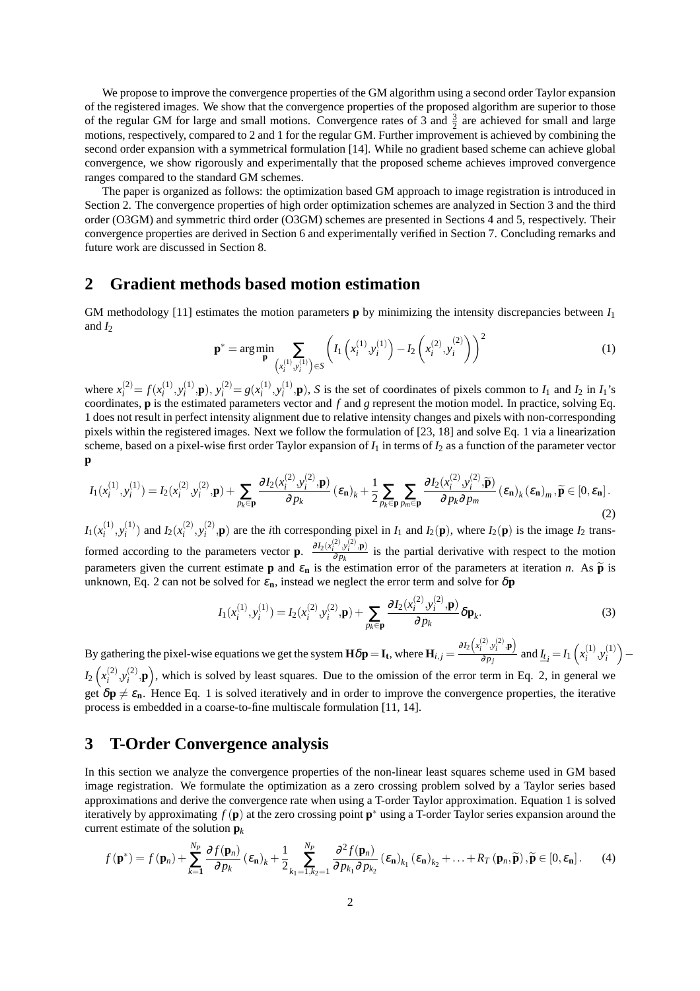We propose to improve the convergence properties of the GM algorithm using a second order Taylor expansion of the registered images. We show that the convergence properties of the proposed algorithm are superior to those of the regular GM for large and small motions. Convergence rates of 3 and  $\frac{3}{2}$  are achieved for small and large motions, respectively, compared to 2 and 1 for the regular GM. Further improvement is achieved by combining the second order expansion with a symmetrical formulation [14]. While no gradient based scheme can achieve global convergence, we show rigorously and experimentally that the proposed scheme achieves improved convergence ranges compared to the standard GM schemes.

The paper is organized as follows: the optimization based GM approach to image registration is introduced in Section 2. The convergence properties of high order optimization schemes are analyzed in Section 3 and the third order (O3GM) and symmetric third order (O3GM) schemes are presented in Sections 4 and 5, respectively. Their convergence properties are derived in Section 6 and experimentally verified in Section 7. Concluding remarks and future work are discussed in Section 8.

### **2 Gradient methods based motion estimation**

GM methodology [11] estimates the motion parameters **p** by minimizing the intensity discrepancies between *I*<sup>1</sup> and  $I_2$  $\overline{a}$  $\overline{a}$  $\sqrt{2}$ 

$$
\mathbf{p}^* = \arg\min_{\mathbf{p}} \sum_{\left(x_i^{(1)}, y_i^{(1)}\right) \in S} \left( I_1\left(x_i^{(1)}, y_i^{(1)}\right) - I_2\left(x_i^{(2)}, y_i^{(2)}\right) \right)^2 \tag{1}
$$

where  $x_i^{(2)} = f(x_i^{(1)})$  $j^{(1)}_{i}$ ,  $y^{(1)}_{i}$  $y_i^{(1)}$ , **p**),  $y_i^{(2)} = g(x_i^{(1)})$  $j^{(1)}_{i}$ ,  $y^{(1)}_{i}$  $\binom{1}{i}$ , **p**), *S* is the set of coordinates of pixels common to *I*<sub>1</sub> and *I*<sub>2</sub> in *I*<sub>1</sub>'s coordinates, **p** is the estimated parameters vector and *f* and *g* represent the motion model. In practice, solving Eq. 1 does not result in perfect intensity alignment due to relative intensity changes and pixels with non-corresponding pixels within the registered images. Next we follow the formulation of [23, 18] and solve Eq. 1 via a linearization scheme, based on a pixel-wise first order Taylor expansion of  $I_1$  in terms of  $I_2$  as a function of the parameter vector **p**

$$
I_1(x_i^{(1)}, y_i^{(1)}) = I_2(x_i^{(2)}, y_i^{(2)}, \mathbf{p}) + \sum_{p_k \in \mathbf{p}} \frac{\partial I_2(x_i^{(2)}, y_i^{(2)}, \mathbf{p})}{\partial p_k} (\varepsilon_{\mathbf{n}})_k + \frac{1}{2} \sum_{p_k \in \mathbf{p}} \sum_{p_m \in \mathbf{p}} \frac{\partial I_2(x_i^{(2)}, y_i^{(2)}, \widetilde{\mathbf{p}})}{\partial p_k \partial p_m} (\varepsilon_{\mathbf{n}})_k (\varepsilon_{\mathbf{n}})_m, \widetilde{\mathbf{p}} \in [0, \varepsilon_{\mathbf{n}}].
$$
\n(2)

 $I_1(x_i^{(1)}$  $j^{(1)}, y_i^{(1)}$  $I_i^{(1)}$ ) and  $I_2(x_i^{(2)}$  $j^{(2)}_i, y^{(2)}_i$  $I_i^{(2)}$ , **p**) are the *i*th corresponding pixel in *I*<sub>1</sub> and *I*<sub>2</sub>(**p**), where *I*<sub>2</sub>(**p**) is the image *I*<sub>2</sub> transformed according to the parameters vector **p**.  $\frac{\partial I_2(x_i^{(2)}, y_i^{(2)}, \mathbf{p})}{\partial x_i}$  $\frac{\partial^2 y_i}{\partial p_k}$  is the partial derivative with respect to the motion parameters given the current estimate **p** and  $\varepsilon_n$  is the estimation error of the parameters at iteration *n*. As  $\tilde{p}$  is unknown, Eq. 2 can not be solved for  $\varepsilon_n$ , instead we neglect the error term and solve for  $\delta p$ 

$$
I_1(x_i^{(1)}, y_i^{(1)}) = I_2(x_i^{(2)}, y_i^{(2)}, \mathbf{p}) + \sum_{p_k \in \mathbf{p}} \frac{\partial I_2(x_i^{(2)}, y_i^{(2)}, \mathbf{p})}{\partial p_k} \delta \mathbf{p}_k.
$$
 (3)

By gathering the pixel-wise equations we get the system  $\mathbf{H} \delta \mathbf{p} = \mathbf{I_t}$ , where  $\mathbf{H}_{i,j} = \frac{\partial I_2}{\partial t_j}$ *x* (2) *i* ,*y* (2) *i* ,**p**  $\frac{\partial u_i}{\partial p_j}$  and  $\underline{I_t} = I_1$  $\overline{a}$  $x_i^{(1)}$  $\sum_{i}^{(1)}$ ,  $y_i^{(1)}$ *i* ´ y gathering the pixel-wise equations we get the system  $\mathbf{H}\delta\mathbf{p} = \mathbf{I}_t$ , where  $\mathbf{H}_{i,j} = \frac{\partial P_i}{\partial p_j}$  and  $I_{t_i} = I_1(x_i^{(1)}, y_i^{(1)}) - I_2(x_i^{(2)}, y_i^{(2)})$  $I_2(x_i^{(2)}$  $j^{(2)}_i, y^{(2)}_i$  $\binom{2}{i}$ , p, which is solved by least squares. Due to the omission of the error term in Eq. 2, in general we get  $\delta \mathbf{p} \neq \varepsilon_n$ . Hence Eq. 1 is solved iteratively and in order to improve the convergence properties, the iterative

# **3 T-Order Convergence analysis**

process is embedded in a coarse-to-fine multiscale formulation [11, 14].

In this section we analyze the convergence properties of the non-linear least squares scheme used in GM based image registration. We formulate the optimization as a zero crossing problem solved by a Taylor series based approximations and derive the convergence rate when using a T-order Taylor approximation. Equation 1 is solved iteratively by approximating  $f(\mathbf{p})$  at the zero crossing point  $\mathbf{p}^*$  using a T-order Taylor series expansion around the current estimate of the solution  $\mathbf{p}_k$ 

$$
f(\mathbf{p}^*) = f(\mathbf{p}_n) + \sum_{k=1}^{N_P} \frac{\partial f(\mathbf{p}_n)}{\partial p_k} (\varepsilon_n)_k + \frac{1}{2} \sum_{k_1=1, k_2=1}^{N_P} \frac{\partial^2 f(\mathbf{p}_n)}{\partial p_{k_1} \partial p_{k_2}} (\varepsilon_n)_{k_1} (\varepsilon_n)_{k_2} + \ldots + R_T(\mathbf{p}_n, \widetilde{\mathbf{p}}), \widetilde{\mathbf{p}} \in [0, \varepsilon_n].
$$
 (4)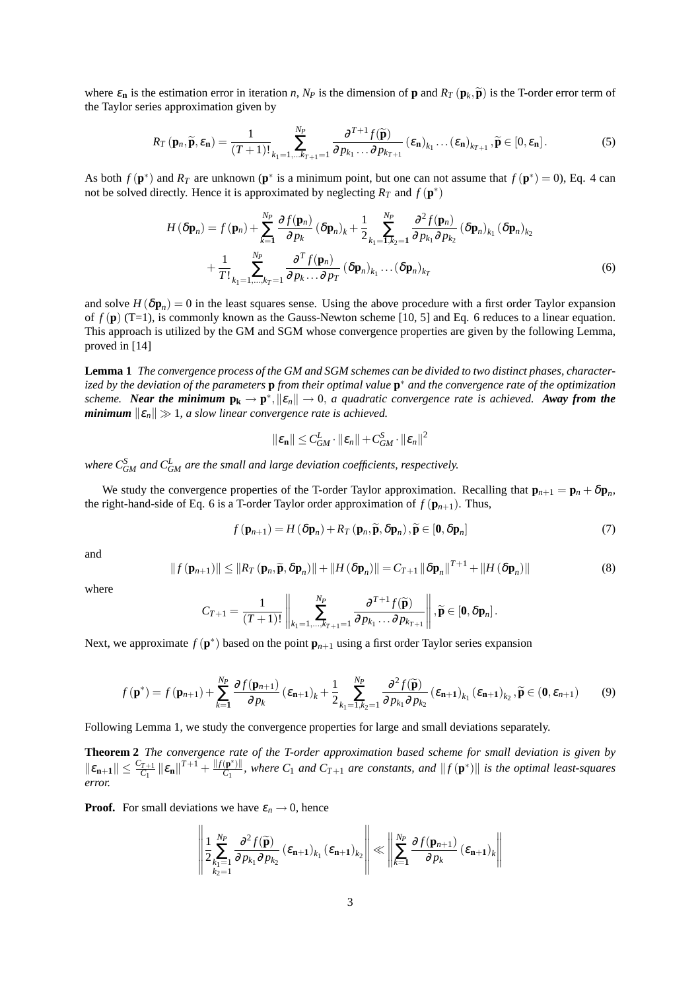where  $\varepsilon_n$  is the estimation error in iteration *n*,  $N_P$  is the dimension of **p** and  $R_T(\mathbf{p}_k, \widetilde{\mathbf{p}})$  is the T-order error term of the Taylor series approximation given by

$$
R_T(\mathbf{p}_n, \widetilde{\mathbf{p}}, \varepsilon_\mathbf{n}) = \frac{1}{(T+1)!} \sum_{k_1=1,\dots,k_{T+1}=1}^{N_P} \frac{\partial^{T+1} f(\widetilde{\mathbf{p}})}{\partial p_{k_1} \dots \partial p_{k_{T+1}}} (\varepsilon_\mathbf{n})_{k_1} \dots (\varepsilon_\mathbf{n})_{k_{T+1}}, \widetilde{\mathbf{p}} \in [0, \varepsilon_\mathbf{n}].
$$
 (5)

As both  $f(\mathbf{p}^*)$  and  $R_T$  are unknown  $(\mathbf{p}^*$  is a minimum point, but one can not assume that  $f(\mathbf{p}^*) = 0$ , Eq. 4 can not be solved directly. Hence it is approximated by neglecting  $R_T$  and  $f(\mathbf{p}^*)$ 

$$
H(\delta \mathbf{p}_n) = f(\mathbf{p}_n) + \sum_{k=1}^{N_P} \frac{\partial f(\mathbf{p}_n)}{\partial p_k} (\delta \mathbf{p}_n)_k + \frac{1}{2} \sum_{k_1=1, k_2=1}^{N_P} \frac{\partial^2 f(\mathbf{p}_n)}{\partial p_{k_1} \partial p_{k_2}} (\delta \mathbf{p}_n)_{k_1} (\delta \mathbf{p}_n)_{k_2} + \frac{1}{T!} \sum_{k_1=1, \dots, k_T=1}^{N_P} \frac{\partial^T f(\mathbf{p}_n)}{\partial p_k \dots \partial p_T} (\delta \mathbf{p}_n)_{k_1} \dots (\delta \mathbf{p}_n)_{k_T}
$$
(6)

and solve  $H(\delta \mathbf{p}_n) = 0$  in the least squares sense. Using the above procedure with a first order Taylor expansion of  $f(\mathbf{p})$  (T=1), is commonly known as the Gauss-Newton scheme [10, 5] and Eq. 6 reduces to a linear equation. This approach is utilized by the GM and SGM whose convergence properties are given by the following Lemma, proved in [14]

**Lemma 1** *The convergence process of the GM and SGM schemes can be divided to two distinct phases, characterized by the deviation of the parameters* **p** *from their optimal value* **p** <sup>∗</sup> *and the convergence rate of the optimization scheme. Near the minimum*  $p_k \to p^*$ ,  $\|\varepsilon_n\| \to 0$ , *a quadratic convergence rate is achieved. Away from the minimum*  $\|\varepsilon_n\| \gg 1$ , a slow linear convergence rate is achieved.

$$
\|\boldsymbol{\varepsilon}_{\mathbf{n}}\| \leq C_{GM}^L\cdot\|\boldsymbol{\varepsilon}_{n}\| + C_{GM}^S\cdot\|\boldsymbol{\varepsilon}_{n}\|^2
$$

where  $C_{GM}^S$  and  $C_{GM}^L$  are the small and large deviation coefficients, respectively.

We study the convergence properties of the T-order Taylor approximation. Recalling that  $\mathbf{p}_{n+1} = \mathbf{p}_n + \delta \mathbf{p}_n$ , the right-hand-side of Eq. 6 is a T-order Taylor order approximation of  $f(\mathbf{p}_{n+1})$ . Thus,

$$
f(\mathbf{p}_{n+1}) = H(\delta \mathbf{p}_n) + R_T(\mathbf{p}_n, \widetilde{\mathbf{p}}, \delta \mathbf{p}_n), \widetilde{\mathbf{p}} \in [\mathbf{0}, \delta \mathbf{p}_n]
$$
(7)

and

$$
||f(\mathbf{p}_{n+1})|| \leq ||R_T(\mathbf{p}_n, \widetilde{\mathbf{p}}, \delta \mathbf{p}_n)|| + ||H(\delta \mathbf{p}_n)|| = C_{T+1} ||\delta \mathbf{p}_n||^{T+1} + ||H(\delta \mathbf{p}_n)|| \tag{8}
$$

where

$$
C_{T+1} = \frac{1}{(T+1)!} \left\| \sum_{k_1=1,\dots,k_{T+1}=1}^{N_P} \frac{\partial^{T+1} f(\widetilde{\mathbf{p}})}{\partial p_{k_1} \dots \partial p_{k_{T+1}}} \right\|, \widetilde{\mathbf{p}} \in [\mathbf{0}, \delta \mathbf{p}_n].
$$

Next, we approximate  $f(\mathbf{p}^*)$  based on the point  $\mathbf{p}_{n+1}$  using a first order Taylor series expansion

$$
f(\mathbf{p}^*) = f(\mathbf{p}_{n+1}) + \sum_{k=1}^{N_P} \frac{\partial f(\mathbf{p}_{n+1})}{\partial p_k} (\varepsilon_{n+1})_k + \frac{1}{2} \sum_{k_1=1, k_2=1}^{N_P} \frac{\partial^2 f(\widetilde{\mathbf{p}})}{\partial p_{k_1} \partial p_{k_2}} (\varepsilon_{n+1})_{k_1} (\varepsilon_{n+1})_{k_2}, \widetilde{\mathbf{p}} \in (0, \varepsilon_{n+1})
$$
(9)

Following Lemma 1, we study the convergence properties for large and small deviations separately.

**Theorem 2** *The convergence rate of the T-order approximation based scheme for small deviation is given by*  $\|\varepsilon_{\mathbf{n+1}}\| \leq \frac{C_{T+1}}{C_1}$  $\frac{f_{T+1}}{C_1}$   $\|\varepsilon_{\mathbf{n}}\|^{T+1}$  +  $\frac{\|f(\mathbf{p}^*)\|}{C_1}$  $\frac{f(\mathbf{p}^*)}{C_1}$ , where  $C_1$  *and*  $C_{T+1}$  *are constants, and*  $||f(\mathbf{p}^*)||$  *is the optimal least-squares error.*

**Proof.** For small deviations we have  $\varepsilon_n \to 0$ , hence °

$$
\left\| \frac{1}{2} \sum_{\substack{k_1=1 \\ k_2=1}}^{N_P} \frac{\partial^2 f(\widetilde{\mathbf{p}})}{\partial p_{k_1} \partial p_{k_2}} \left( \varepsilon_{\mathbf{n}+\mathbf{1}} \right)_{k_1} \left( \varepsilon_{\mathbf{n}+\mathbf{1}} \right)_{k_2} \right\| \ll \left\| \sum_{k=1}^{N_P} \frac{\partial f(\mathbf{p}_{n+1})}{\partial p_k} \left( \varepsilon_{\mathbf{n}+\mathbf{1}} \right)_k \right\|
$$

°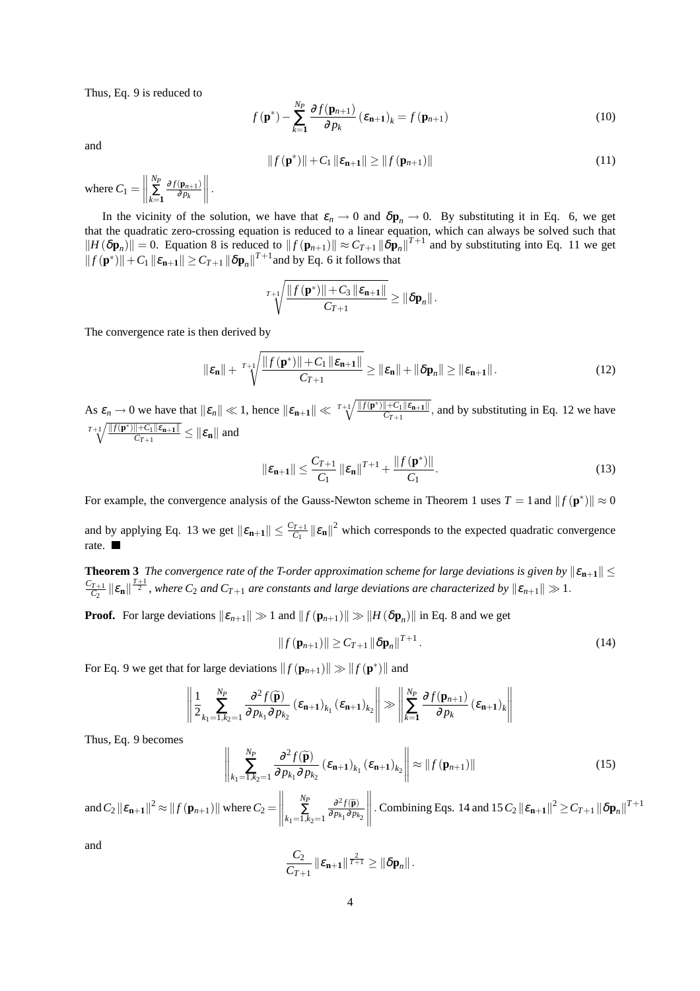Thus, Eq. 9 is reduced to

$$
f(\mathbf{p}^*) - \sum_{k=1}^{N_P} \frac{\partial f(\mathbf{p}_{n+1})}{\partial p_k} (\varepsilon_{n+1})_k = f(\mathbf{p}_{n+1})
$$
\n(10)

and

$$
||f(\mathbf{p}^*)|| + C_1 ||\varepsilon_{\mathbf{n}+1}|| \ge ||f(\mathbf{p}_{n+1})|| \tag{11}
$$

where  $C_1 =$  $\begin{array}{c} \begin{array}{c} \begin{array}{c} \end{array} \\ \begin{array}{c} \end{array} \end{array} \end{array}$ *NP* ∑ *k*=**1**  $\partial f(\mathbf{p}_{n+1})$ <sup>∂</sup> *p<sup>k</sup>*  $\|\,$ .

In the vicinity of the solution, we have that  $\varepsilon_n \to 0$  and  $\delta \mathbf{p}_n \to 0$ . By substituting it in Eq. 6, we get that the quadratic zero-crossing equation is reduced to a linear equation, which can always be solved such that  $||H(\delta \mathbf{p}_n)|| = 0$ . Equation 8 is reduced to  $||f(\mathbf{p}_{n+1})|| \approx C_{T+1} ||\delta \mathbf{p}_n||^{T+1}$  and by substituting into Eq. 11 we get  $||f(\mathbf{p}^*)|| + C_1 ||\varepsilon_{\mathbf{n}+1}|| \geq C_{T+1} ||\delta \mathbf{p}_n||^{T+1}$  and by Eq. 6 it follows that

$$
^{T+1}\sqrt{\frac{\|f(\mathbf{p}^*)\|+C_3\|\varepsilon_{n+1}\|}{C_{T+1}}}\geq \|\delta \mathbf{p}_n\|.
$$

The convergence rate is then derived by

$$
\|\varepsilon_{\mathbf{n}}\| + \sqrt[T+1]{\frac{\|f(\mathbf{p}^*)\| + C_1 \|\varepsilon_{\mathbf{n}+1}\|}{C_{T+1}}} \ge \|\varepsilon_{\mathbf{n}}\| + \|\delta \mathbf{p}_n\| \ge \|\varepsilon_{\mathbf{n}+1}\|.
$$
 (12)

As  $\varepsilon_n \to 0$  we have that  $\|\varepsilon_n\| \ll 1$ , hence  $\|\varepsilon_{n+1}\| \ll \frac{T+1}{\sqrt{\frac{||f(\mathbf{p}^*)||+C_1||\varepsilon_{n+1}||}{C_{T+1}}}}$  $\frac{f(t+1)\mathcal{E}_{n+1}}{C_{T+1}}$ , and by substituting in Eq. 12 we have  $T+1$   $\sqrt{\|f(\mathbf{p}^*)\| + C_1 \|\varepsilon_{\mathbf{n}+1}\|}$  $\frac{\|\mathcal{F} - \mathcal{F}_1\| \mathcal{E}_{\mathbf{n+1}}\|}{C_{T+1}} \leq \|\mathcal{E}_{\mathbf{n}}\|$  and

$$
\|\varepsilon_{n+1}\| \le \frac{C_{T+1}}{C_1} \|\varepsilon_n\|^{T+1} + \frac{\|f(\mathbf{p}^*)\|}{C_1}.
$$
 (13)

For example, the convergence analysis of the Gauss-Newton scheme in Theorem 1 uses  $T = 1$  and  $|| f(\mathbf{p}^*) || \approx 0$ 

and by applying Eq. 13 we get  $||\boldsymbol{\varepsilon}_{n+1}|| \leq \frac{C_{T+1}}{C_1}$  $\left|\frac{r_{+1}}{C_1}\right| \left|\mathcal{E}_n\right| \right|^2$  which corresponds to the expected quadratic convergence rate.

**Theorem 3** *The convergence rate of the T-order approximation scheme for large deviations is given by*  $\|\varepsilon_{n+1}\|$   $\leq$ *CT*+1  $\frac{T_{T+1}}{C_2}$   $\|\varepsilon_{\mathbf{n}}\|^{T+1}$ , where  $C_2$  and  $C_{T+1}$  are constants and large deviations are characterized by  $\|\varepsilon_{n+1}\| \gg 1$ .

**Proof.** For large deviations  $\|\varepsilon_{n+1}\| \gg 1$  and  $\|f(\mathbf{p}_{n+1})\| \gg \|H(\delta \mathbf{p}_n)\|$  in Eq. 8 and we get

$$
||f(\mathbf{p}_{n+1})|| \ge C_{T+1} ||\delta \mathbf{p}_n||^{T+1}.
$$
 (14)

For Eq. 9 we get that for large deviations  $|| f(\mathbf{p}_{n+1}) || \gg || f(\mathbf{p}^*) ||$  and

$$
\left\| \frac{1}{2} \sum_{k_1=1, k_2=1}^{N_P} \frac{\partial^2 f(\widetilde{\mathbf{p}})}{\partial p_{k_1} \partial p_{k_2}} (\varepsilon_{n+1})_{k_1} (\varepsilon_{n+1})_{k_2} \right\| \gg \left\| \sum_{k=1}^{N_P} \frac{\partial f(\mathbf{p}_{n+1})}{\partial p_k} (\varepsilon_{n+1})_{k} \right\|
$$

Thus, Eq. 9 becomes

$$
\left\| \sum_{k_1=1, k_2=1}^{N_P} \frac{\partial^2 f(\widetilde{\mathbf{p}})}{\partial p_{k_1} \partial p_{k_2}} (\varepsilon_{\mathbf{n}+\mathbf{1}})_{k_1} (\varepsilon_{\mathbf{n}+\mathbf{1}})_{k_2} \right\| \approx \|f(\mathbf{p}_{n+1})\|
$$
\n(15)

and  $C_2 \left\| \boldsymbol{\varepsilon_{{\bf n}+1}} \right\|^2 \approx \left\| f \left( \boldsymbol{\mathrm{p}}_{n+1} \right) \right\|$  where  $C_2$   $=$  $\begin{array}{c} \hline \rule{0pt}{2ex} \rule{0pt}{2ex} \rule{0pt}{2ex} \rule{0pt}{2ex} \rule{0pt}{2ex} \rule{0pt}{2ex} \rule{0pt}{2ex} \rule{0pt}{2ex} \rule{0pt}{2ex} \rule{0pt}{2ex} \rule{0pt}{2ex} \rule{0pt}{2ex} \rule{0pt}{2ex} \rule{0pt}{2ex} \rule{0pt}{2ex} \rule{0pt}{2ex} \rule{0pt}{2ex} \rule{0pt}{2ex} \rule{0pt}{2ex} \rule{0pt}{2ex} \rule{0pt}{2ex} \rule{0pt}{2ex} \rule{0pt}{2ex} \rule{$ *NP* ∑  $k_1$ =1, $k_2$ =1  $\partial^2 f(\tilde{\mathbf{p}})$  $∂p_{k₁}∂p_{k₂}$  $\left\| \cdot$  Combining Eqs. 14 and 15  $C_2 \left\| \varepsilon_{n+1} \right\|^2 \ge C_{T+1} \left\| \delta \mathbf{p}_n \right\|^{T+1}$ 

and

$$
\frac{C_2}{C_{T+1}}\left\|\varepsilon_{\mathbf{n}+1}\right\|^{\frac{2}{T+1}} \geq \left\|\delta \mathbf{p}_n\right\|.
$$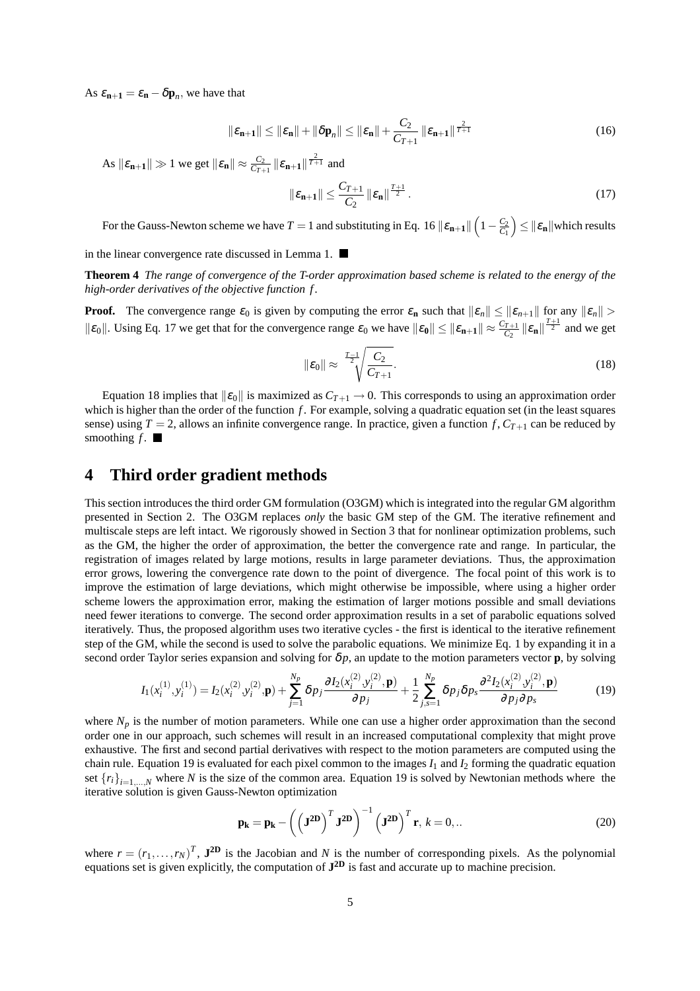As  $\varepsilon_{\mathbf{n}+1} = \varepsilon_{\mathbf{n}} - \delta \mathbf{p}_n$ , we have that

$$
\|\varepsilon_{n+1}\| \le \|\varepsilon_n\| + \|\delta p_n\| \le \|\varepsilon_n\| + \frac{C_2}{C_{T+1}} \|\varepsilon_{n+1}\|^{\frac{2}{T+1}} \tag{16}
$$

 $\| \mathcal{E}_{n+1} \| \gg 1$  we get  $\| \mathcal{E}_{n} \| \approx \frac{C_2}{C_{T+1}} \| \mathcal{E}_{n+1} \|^{2 \over T+1}$  and

$$
\|\boldsymbol{\varepsilon}_{n+1}\| \leq \frac{C_{T+1}}{C_2} \|\boldsymbol{\varepsilon}_n\|^{\frac{T+1}{2}}.
$$
\n(17)

For the Gauss-Newton scheme we have  $T = 1$  and substituting in Eq. 16  $\|\varepsilon_{n+1}\|$  $1-\frac{C_2}{C_1}$  $\leq$   $\|\varepsilon_{\mathbf{n}}\|$  which results

in the linear convergence rate discussed in Lemma 1.

**Theorem 4** *The range of convergence of the T-order approximation based scheme is related to the energy of the high-order derivatives of the objective function f .*

**Proof.** The convergence range  $\varepsilon_0$  is given by computing the error  $\varepsilon_n$  such that  $\|\varepsilon_n\| \le \|\varepsilon_{n+1}\|$  for any  $\|\varepsilon_n\| >$  $\|\varepsilon_0\|$ . Using Eq. 17 we get that for the convergence range  $\varepsilon_0$  we have  $\|\varepsilon_0\| \leq \|\varepsilon_{n+1}\| \approx \frac{C_{T+1}}{C_2}$  $\frac{T+1}{C_2}$   $\|\varepsilon_n\| \frac{T+1}{2}$  and we get

$$
\|\varepsilon_0\| \approx \frac{r_{-1}}{2} \sqrt{\frac{C_2}{C_{T+1}}}.
$$
\n(18)

Equation 18 implies that  $\|\varepsilon_0\|$  is maximized as  $C_{T+1} \to 0$ . This corresponds to using an approximation order which is higher than the order of the function *f*. For example, solving a quadratic equation set (in the least squares sense) using  $T = 2$ , allows an infinite convergence range. In practice, given a function  $f$ ,  $C_{T+1}$  can be reduced by smoothing  $f$ .

# **4 Third order gradient methods**

This section introduces the third order GM formulation (O3GM) which is integrated into the regular GM algorithm presented in Section 2. The O3GM replaces *only* the basic GM step of the GM. The iterative refinement and multiscale steps are left intact. We rigorously showed in Section 3 that for nonlinear optimization problems, such as the GM, the higher the order of approximation, the better the convergence rate and range. In particular, the registration of images related by large motions, results in large parameter deviations. Thus, the approximation error grows, lowering the convergence rate down to the point of divergence. The focal point of this work is to improve the estimation of large deviations, which might otherwise be impossible, where using a higher order scheme lowers the approximation error, making the estimation of larger motions possible and small deviations need fewer iterations to converge. The second order approximation results in a set of parabolic equations solved iteratively. Thus, the proposed algorithm uses two iterative cycles - the first is identical to the iterative refinement step of the GM, while the second is used to solve the parabolic equations. We minimize Eq. 1 by expanding it in a second order Taylor series expansion and solving for  $\delta p$ , an update to the motion parameters vector **p**, by solving

$$
I_1(x_i^{(1)}, y_i^{(1)}) = I_2(x_i^{(2)}, y_i^{(2)}, \mathbf{p}) + \sum_{j=1}^{N_p} \delta p_j \frac{\partial I_2(x_i^{(2)}, y_i^{(2)}, \mathbf{p})}{\partial p_j} + \frac{1}{2} \sum_{j,s=1}^{N_p} \delta p_j \delta p_s \frac{\partial^2 I_2(x_i^{(2)}, y_i^{(2)}, \mathbf{p})}{\partial p_j \partial p_s}
$$
(19)

where  $N_p$  is the number of motion parameters. While one can use a higher order approximation than the second order one in our approach, such schemes will result in an increased computational complexity that might prove exhaustive. The first and second partial derivatives with respect to the motion parameters are computed using the chain rule. Equation 19 is evaluated for each pixel common to the images  $I_1$  and  $I_2$  forming the quadratic equation set  ${r_i}_{i=1,\dots,N}$  where *N* is the size of the common area. Equation 19 is solved by Newtonian methods where the iterative solution is given Gauss-Newton optimization

$$
\mathbf{p_k} = \mathbf{p_k} - \left(\left(\mathbf{J}^{\mathbf{2D}}\right)^T \mathbf{J}^{\mathbf{2D}}\right)^{-1} \left(\mathbf{J}^{\mathbf{2D}}\right)^T \mathbf{r}, \, k = 0, \dots
$$
 (20)

where  $r = (r_1, \ldots, r_N)^T$ ,  $\mathbf{J}^{\mathbf{2D}}$  is the Jacobian and *N* is the number of corresponding pixels. As the polynomial equations set is given explicitly, the computation of **J 2D** is fast and accurate up to machine precision.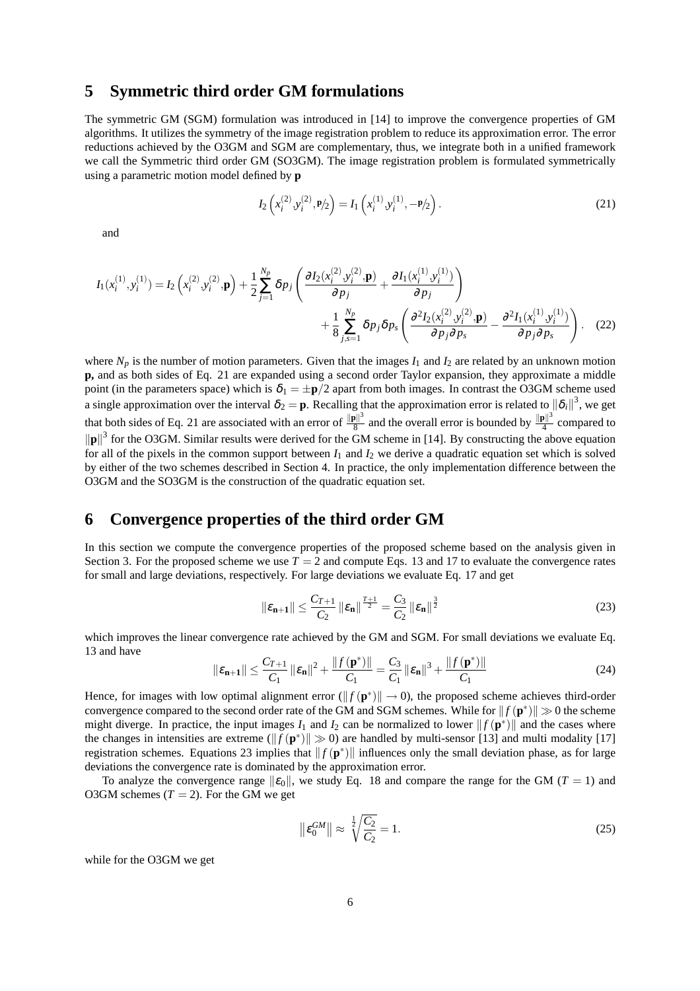### **5 Symmetric third order GM formulations**

The symmetric GM (SGM) formulation was introduced in [14] to improve the convergence properties of GM algorithms. It utilizes the symmetry of the image registration problem to reduce its approximation error. The error reductions achieved by the O3GM and SGM are complementary, thus, we integrate both in a unified framework we call the Symmetric third order GM (SO3GM). The image registration problem is formulated symmetrically using a parametric motion model defined by **p**

$$
I_2\left(x_i^{(2)}, y_i^{(2)}, \mathbf{P}/2\right) = I_1\left(x_i^{(1)}, y_i^{(1)}, -\mathbf{P}/2\right).
$$
 (21)

and

$$
I_{1}(x_{i}^{(1)}, y_{i}^{(1)}) = I_{2}\left(x_{i}^{(2)}, y_{i}^{(2)}, \mathbf{p}\right) + \frac{1}{2} \sum_{j=1}^{N_{p}} \delta p_{j} \left(\frac{\partial I_{2}(x_{i}^{(2)}, y_{i}^{(2)}, \mathbf{p})}{\partial p_{j}} + \frac{\partial I_{1}(x_{i}^{(1)}, y_{i}^{(1)})}{\partial p_{j}}\right) + \frac{1}{8} \sum_{j,s=1}^{N_{p}} \delta p_{j} \delta p_{s} \left(\frac{\partial^{2} I_{2}(x_{i}^{(2)}, y_{i}^{(2)}, \mathbf{p})}{\partial p_{j} \partial p_{s}} - \frac{\partial^{2} I_{1}(x_{i}^{(1)}, y_{i}^{(1)})}{\partial p_{j} \partial p_{s}}\right). (22)
$$

where  $N_p$  is the number of motion parameters. Given that the images  $I_1$  and  $I_2$  are related by an unknown motion **p,** and as both sides of Eq. 21 are expanded using a second order Taylor expansion, they approximate a middle point (in the parameters space) which is  $\delta_1 = \pm \mathbf{p}/2$  apart from both images. In contrast the O3GM scheme used a single approximation over the interval  $\delta_2 = p$ . Recalling that the approximation error is related to  $\|\delta_i\|^3$ , we get that both sides of Eq. 21 are associated with an error of  $\frac{\|\mathbf{p}\|^3}{8}$  $\frac{\|\mathbf{a}\|^3}{8}$  and the overall error is bounded by  $\frac{\|\mathbf{p}\|^3}{4}$  $\frac{9}{4}$  compared to  $\|\mathbf{p}\|^3$  for the O3GM. Similar results were derived for the GM scheme in [14]. By constructing the above equation for all of the pixels in the common support between  $I_1$  and  $I_2$  we derive a quadratic equation set which is solved by either of the two schemes described in Section 4. In practice, the only implementation difference between the O3GM and the SO3GM is the construction of the quadratic equation set.

# **6 Convergence properties of the third order GM**

In this section we compute the convergence properties of the proposed scheme based on the analysis given in Section 3. For the proposed scheme we use  $T = 2$  and compute Eqs. 13 and 17 to evaluate the convergence rates for small and large deviations, respectively. For large deviations we evaluate Eq. 17 and get

$$
\|\varepsilon_{n+1}\| \le \frac{C_{T+1}}{C_2} \|\varepsilon_n\|^{\frac{T+1}{2}} = \frac{C_3}{C_2} \|\varepsilon_n\|^{\frac{3}{2}}
$$
 (23)

which improves the linear convergence rate achieved by the GM and SGM. For small deviations we evaluate Eq. 13 and have

$$
\|\varepsilon_{n+1}\| \le \frac{C_{T+1}}{C_1} \|\varepsilon_n\|^2 + \frac{\|f(\mathbf{p}^*)\|}{C_1} = \frac{C_3}{C_1} \|\varepsilon_n\|^3 + \frac{\|f(\mathbf{p}^*)\|}{C_1}
$$
(24)

Hence, for images with low optimal alignment error  $(\|f(\mathbf{p}^*)\| \to 0)$ , the proposed scheme achieves third-order convergence compared to the second order rate of the GM and SGM schemes. While for  $|| f(\mathbf{p}^*) || \gg 0$  the scheme might diverge. In practice, the input images  $I_1$  and  $I_2$  can be normalized to lower  $|| f(\mathbf{p}^*)||$  and the cases where the changes in intensities are extreme ( $|| f(\mathbf{p}^*) || \gg 0$ ) are handled by multi-sensor [13] and multi modality [17] registration schemes. Equations 23 implies that  $|| f(\mathbf{p}^*) ||$  influences only the small deviation phase, as for large deviations the convergence rate is dominated by the approximation error.

To analyze the convergence range  $\|\varepsilon_0\|$ , we study Eq. 18 and compare the range for the GM (*T* = 1) and O3GM schemes  $(T = 2)$ . For the GM we get

$$
\|\varepsilon_0^{GM}\| \approx \sqrt[1]{\frac{C_2}{C_2}} = 1.
$$
 (25)

while for the O3GM we get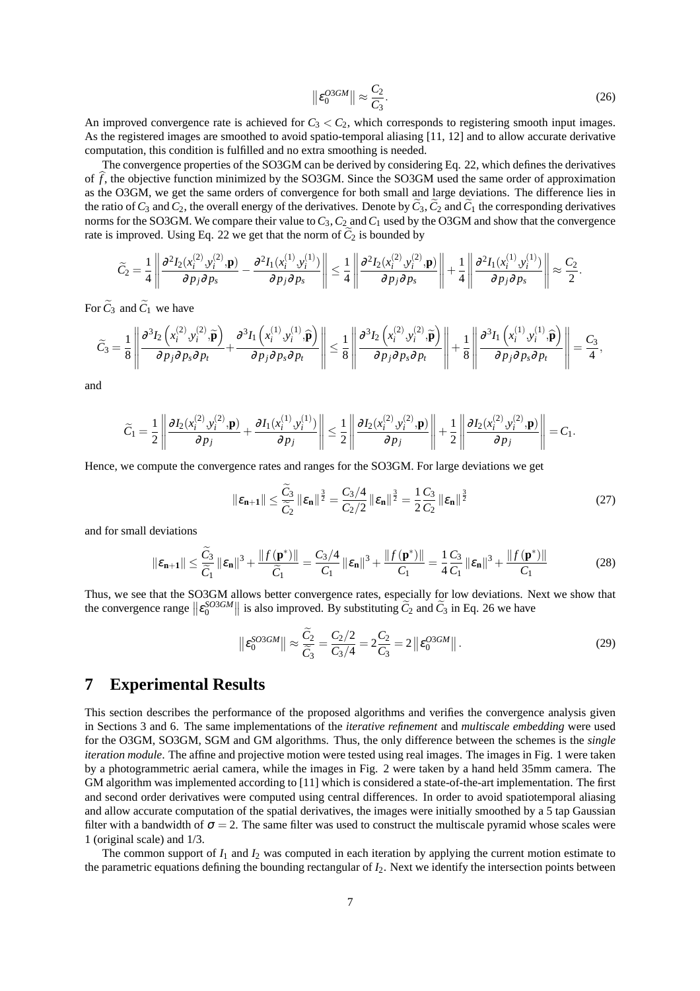$$
\left\| \varepsilon_0^{O3GM} \right\| \approx \frac{C_2}{C_3}.\tag{26}
$$

An improved convergence rate is achieved for  $C_3 < C_2$ , which corresponds to registering smooth input images. As the registered images are smoothed to avoid spatio-temporal aliasing [11, 12] and to allow accurate derivative computation, this condition is fulfilled and no extra smoothing is needed.

The convergence properties of the SO3GM can be derived by considering Eq. 22, which defines the derivatives of  $\hat{f}$ , the objective function minimized by the SO3GM. Since the SO3GM used the same order of approximation as the O3GM, we get the same orders of convergence for both small and large deviations. The difference lies in the ratio of  $C_3$  and  $C_2$ , the overall energy of the derivatives. Denote by  $C_3$ ,  $C_2$  and  $C_1$  the corresponding derivatives norms for the SO3GM. We compare their value to*C*3, *C*<sup>2</sup> and*C*<sup>1</sup> used by the O3GM and show that the convergence rate is improved. Using Eq. 22 we get that the norm of  $C_2$  is bounded by

$$
\widetilde{C}_2 = \frac{1}{4} \left\| \frac{\partial^2 I_2(x_i^{(2)}, y_i^{(2)}, \mathbf{p})}{\partial p_j \partial p_s} - \frac{\partial^2 I_1(x_i^{(1)}, y_i^{(1)})}{\partial p_j \partial p_s} \right\| \leq \frac{1}{4} \left\| \frac{\partial^2 I_2(x_i^{(2)}, y_i^{(2)}, \mathbf{p})}{\partial p_j \partial p_s} \right\| + \frac{1}{4} \left\| \frac{\partial^2 I_1(x_i^{(1)}, y_i^{(1)})}{\partial p_j \partial p_s} \right\| \approx \frac{C_2}{2}.
$$

For  $\tilde{C}_3$  and  $\tilde{C}_1$  we have

$$
\widetilde{C}_3 = \frac{1}{8} \left\| \frac{\partial^3 I_2\left(x_i^{(2)}, y_i^{(2)}, \widetilde{\mathbf{p}}\right)}{\partial p_j \partial p_s \partial p_t} + \frac{\partial^3 I_1\left(x_i^{(1)}, y_i^{(1)}, \widehat{\mathbf{p}}\right)}{\partial p_j \partial p_s \partial p_t} \right\| \leq \frac{1}{8} \left\| \frac{\partial^3 I_2\left(x_i^{(2)}, y_i^{(2)}, \widetilde{\mathbf{p}}\right)}{\partial p_j \partial p_s \partial p_t} \right\| + \frac{1}{8} \left\| \frac{\partial^3 I_1\left(x_i^{(1)}, y_i^{(1)}, \widehat{\mathbf{p}}\right)}{\partial p_j \partial p_s \partial p_t} \right\| = \frac{C_3}{4},
$$

and

$$
\widetilde{C}_1 = \frac{1}{2} \left\| \frac{\partial I_2(x_i^{(2)}, y_i^{(2)}, \mathbf{p})}{\partial p_j} + \frac{\partial I_1(x_i^{(1)}, y_i^{(1)})}{\partial p_j} \right\| \leq \frac{1}{2} \left\| \frac{\partial I_2(x_i^{(2)}, y_i^{(2)}, \mathbf{p})}{\partial p_j} \right\| + \frac{1}{2} \left\| \frac{\partial I_2(x_i^{(2)}, y_i^{(2)}, \mathbf{p})}{\partial p_j} \right\| = C_1.
$$

Hence, we compute the convergence rates and ranges for the SO3GM. For large deviations we get

$$
\|\varepsilon_{\mathbf{n}+1}\| \le \frac{\widetilde{C}_3}{\widetilde{C}_2} \|\varepsilon_{\mathbf{n}}\|^{\frac{3}{2}} = \frac{C_3/4}{C_2/2} \|\varepsilon_{\mathbf{n}}\|^{\frac{3}{2}} = \frac{1}{2} \frac{C_3}{C_2} \|\varepsilon_{\mathbf{n}}\|^{\frac{3}{2}}
$$
(27)

and for small deviations

$$
\|\varepsilon_{\mathbf{n}+1}\| \le \frac{\widetilde{C}_3}{\widetilde{C}_1} \|\varepsilon_{\mathbf{n}}\|^3 + \frac{\|f(\mathbf{p}^*)\|}{\widetilde{C}_1} = \frac{C_3/4}{C_1} \|\varepsilon_{\mathbf{n}}\|^3 + \frac{\|f(\mathbf{p}^*)\|}{C_1} = \frac{1}{4} \frac{C_3}{C_1} \|\varepsilon_{\mathbf{n}}\|^3 + \frac{\|f(\mathbf{p}^*)\|}{C_1}
$$
(28)

Thus, we see that the SO3GM allows better convergence rates, especially for low deviations. Next we show that the convergence range  $||\varepsilon_0^{SO3GM}||$  is also improved. By substituting  $\tilde{C}_2$  and  $\tilde{C}_3$  in Eq. 26 we have

$$
\|\varepsilon_0^{SO3GM}\| \approx \frac{\widetilde{C}_2}{\widetilde{C}_3} = \frac{C_2/2}{C_3/4} = 2\frac{C_2}{C_3} = 2\|\varepsilon_0^{OSGM}\|.
$$
 (29)

# **7 Experimental Results**

This section describes the performance of the proposed algorithms and verifies the convergence analysis given in Sections 3 and 6. The same implementations of the *iterative refinement* and *multiscale embedding* were used for the O3GM, SO3GM, SGM and GM algorithms. Thus, the only difference between the schemes is the *single iteration module*. The affine and projective motion were tested using real images. The images in Fig. 1 were taken by a photogrammetric aerial camera, while the images in Fig. 2 were taken by a hand held 35mm camera. The GM algorithm was implemented according to [11] which is considered a state-of-the-art implementation. The first and second order derivatives were computed using central differences. In order to avoid spatiotemporal aliasing and allow accurate computation of the spatial derivatives, the images were initially smoothed by a 5 tap Gaussian filter with a bandwidth of  $\sigma = 2$ . The same filter was used to construct the multiscale pyramid whose scales were 1 (original scale) and 1/3.

The common support of  $I_1$  and  $I_2$  was computed in each iteration by applying the current motion estimate to the parametric equations defining the bounding rectangular of *I*2. Next we identify the intersection points between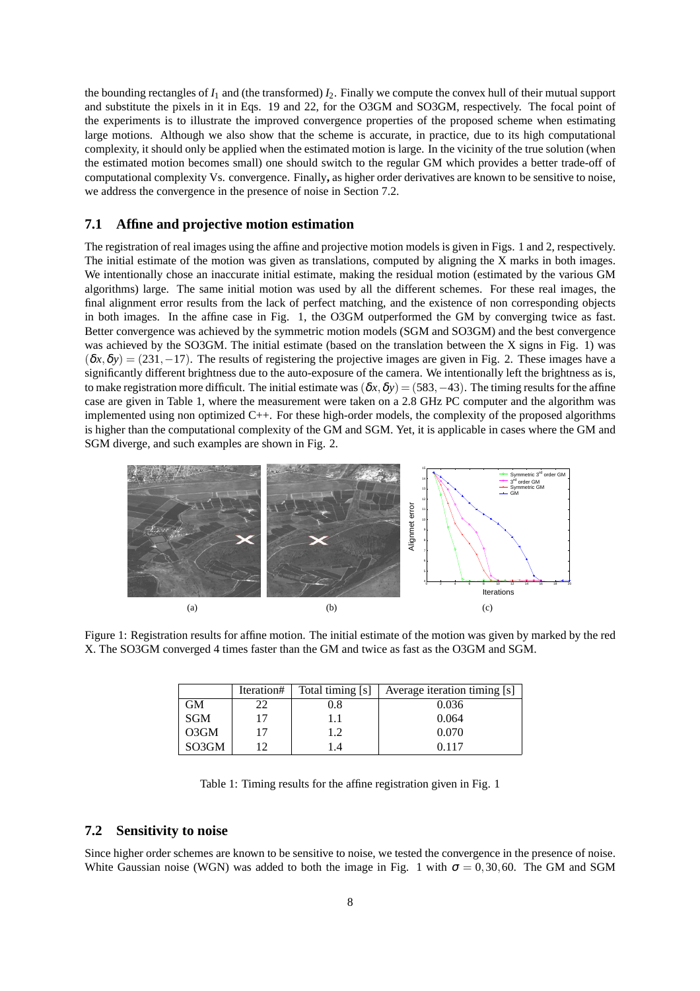the bounding rectangles of  $I_1$  and (the transformed)  $I_2$ . Finally we compute the convex hull of their mutual support and substitute the pixels in it in Eqs. 19 and 22, for the O3GM and SO3GM, respectively. The focal point of the experiments is to illustrate the improved convergence properties of the proposed scheme when estimating large motions. Although we also show that the scheme is accurate, in practice, due to its high computational complexity, it should only be applied when the estimated motion is large. In the vicinity of the true solution (when the estimated motion becomes small) one should switch to the regular GM which provides a better trade-off of computational complexity Vs. convergence. Finally**,** as higher order derivatives are known to be sensitive to noise, we address the convergence in the presence of noise in Section 7.2.

#### **7.1 Affine and projective motion estimation**

The registration of real images using the affine and projective motion models is given in Figs. 1 and 2, respectively. The initial estimate of the motion was given as translations, computed by aligning the X marks in both images. We intentionally chose an inaccurate initial estimate, making the residual motion (estimated by the various GM algorithms) large. The same initial motion was used by all the different schemes. For these real images, the final alignment error results from the lack of perfect matching, and the existence of non corresponding objects in both images. In the affine case in Fig. 1, the O3GM outperformed the GM by converging twice as fast. Better convergence was achieved by the symmetric motion models (SGM and SO3GM) and the best convergence was achieved by the SO3GM. The initial estimate (based on the translation between the X signs in Fig. 1) was  $(\delta x, \delta y) = (231, -17)$ . The results of registering the projective images are given in Fig. 2. These images have a significantly different brightness due to the auto-exposure of the camera. We intentionally left the brightness as is, to make registration more difficult. The initial estimate was  $(\delta x, \delta y) = (583, -43)$ . The timing results for the affine case are given in Table 1, where the measurement were taken on a 2.8 GHz PC computer and the algorithm was implemented using non optimized C++. For these high-order models, the complexity of the proposed algorithms is higher than the computational complexity of the GM and SGM. Yet, it is applicable in cases where the GM and SGM diverge, and such examples are shown in Fig. 2.



Figure 1: Registration results for affine motion. The initial estimate of the motion was given by marked by the red X. The SO3GM converged 4 times faster than the GM and twice as fast as the O3GM and SGM.

|         | Iteration# | Total timing [s] | Average iteration timing [s] |
|---------|------------|------------------|------------------------------|
| GМ      | າາ         | 0.8              | 0.036                        |
| SGM     | 17         | 1.1              | 0.064                        |
| $O3$ GM | 17         | 1.2              | 0.070                        |
| SO3GM   |            | 1.4              | 0.117                        |

Table 1: Timing results for the affine registration given in Fig. 1

### **7.2 Sensitivity to noise**

Since higher order schemes are known to be sensitive to noise, we tested the convergence in the presence of noise. White Gaussian noise (WGN) was added to both the image in Fig. 1 with  $\sigma = 0.30, 60$ . The GM and SGM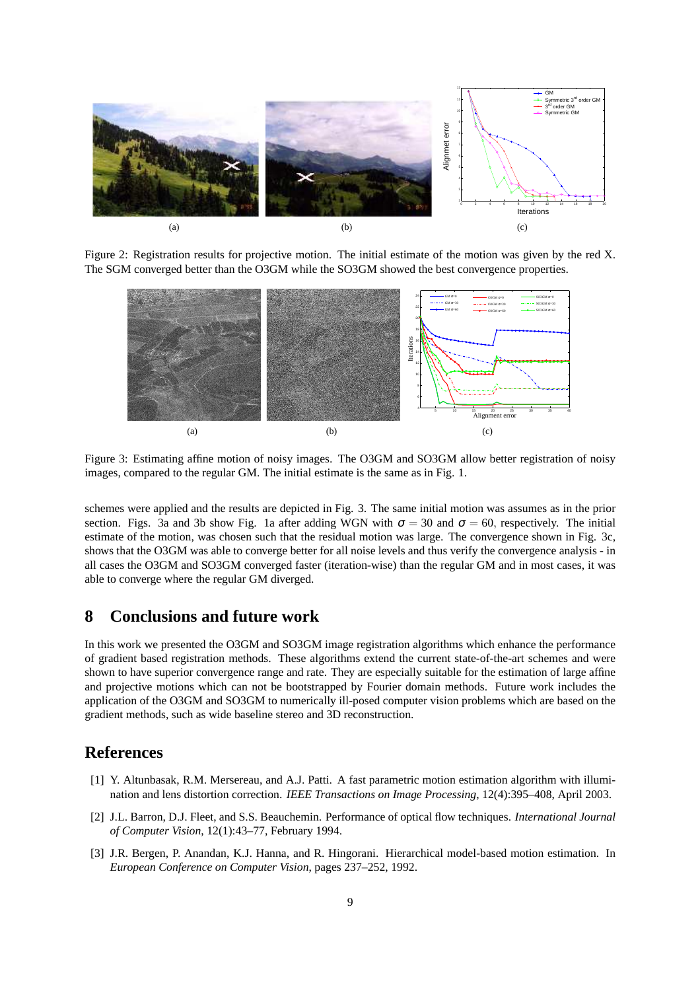

Figure 2: Registration results for projective motion. The initial estimate of the motion was given by the red X. The SGM converged better than the O3GM while the SO3GM showed the best convergence properties.



Figure 3: Estimating affine motion of noisy images. The O3GM and SO3GM allow better registration of noisy images, compared to the regular GM. The initial estimate is the same as in Fig. 1.

schemes were applied and the results are depicted in Fig. 3. The same initial motion was assumes as in the prior section. Figs. 3a and 3b show Fig. 1a after adding WGN with  $\sigma = 30$  and  $\sigma = 60$ , respectively. The initial estimate of the motion, was chosen such that the residual motion was large. The convergence shown in Fig. 3c, shows that the O3GM was able to converge better for all noise levels and thus verify the convergence analysis - in all cases the O3GM and SO3GM converged faster (iteration-wise) than the regular GM and in most cases, it was able to converge where the regular GM diverged.

# **8 Conclusions and future work**

In this work we presented the O3GM and SO3GM image registration algorithms which enhance the performance of gradient based registration methods. These algorithms extend the current state-of-the-art schemes and were shown to have superior convergence range and rate. They are especially suitable for the estimation of large affine and projective motions which can not be bootstrapped by Fourier domain methods. Future work includes the application of the O3GM and SO3GM to numerically ill-posed computer vision problems which are based on the gradient methods, such as wide baseline stereo and 3D reconstruction.

# **References**

- [1] Y. Altunbasak, R.M. Mersereau, and A.J. Patti. A fast parametric motion estimation algorithm with illumination and lens distortion correction. *IEEE Transactions on Image Processing*, 12(4):395–408, April 2003.
- [2] J.L. Barron, D.J. Fleet, and S.S. Beauchemin. Performance of optical flow techniques. *International Journal of Computer Vision*, 12(1):43–77, February 1994.
- [3] J.R. Bergen, P. Anandan, K.J. Hanna, and R. Hingorani. Hierarchical model-based motion estimation. In *European Conference on Computer Vision*, pages 237–252, 1992.